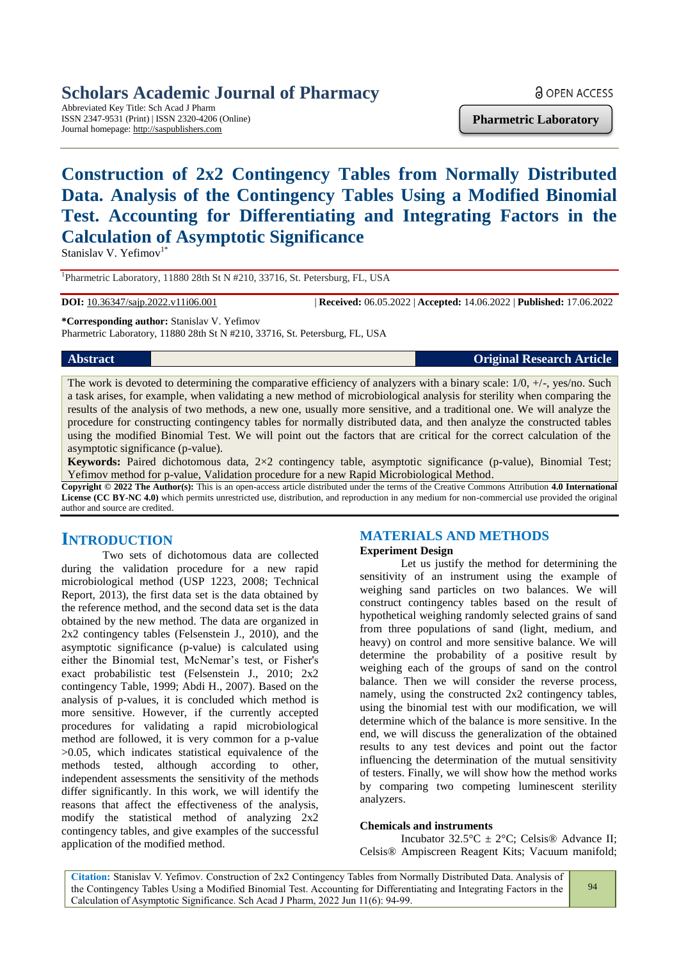## **Scholars Academic Journal of Pharmacy**

Abbreviated Key Title: Sch Acad J Pharm ISSN 2347-9531 (Print) | ISSN 2320-4206 (Online) Journal homepage: http://saspublishers.com

**Pharmetric Laboratory**

## **Construction of 2x2 Contingency Tables from Normally Distributed Data. Analysis of the Contingency Tables Using a Modified Binomial Test. Accounting for Differentiating and Integrating Factors in the Calculation of Asymptotic Significance**

Stanislav V. Yefimov $1^*$ 

<sup>1</sup>Pharmetric Laboratory, 11880 28th St N #210, 33716, St. Petersburg, FL, USA

**DOI:** 10.36347/sajp.2022.v11i06.001 | **Received:** 06.05.2022 | **Accepted:** 14.06.2022 | **Published:** 17.06.2022

**\*Corresponding author:** Stanislav V. Yefimov

Pharmetric Laboratory, 11880 28th St N #210, 33716, St. Petersburg, FL, USA

#### **Abstract Original Research Article**

The work is devoted to determining the comparative efficiency of analyzers with a binary scale:  $1/0$ ,  $+/-$ , yes/no. Such a task arises, for example, when validating a new method of microbiological analysis for sterility when comparing the results of the analysis of two methods, a new one, usually more sensitive, and a traditional one. We will analyze the procedure for constructing contingency tables for normally distributed data, and then analyze the constructed tables using the modified Binomial Test. We will point out the factors that are critical for the correct calculation of the asymptotic significance (p-value).

**Keywords:** Paired dichotomous data, 2×2 contingency table, asymptotic significance (p-value), Binomial Test; Yefimov method for p-value, Validation procedure for a new Rapid Microbiological Method.

**Copyright © 2022 The Author(s):** This is an open-access article distributed under the terms of the Creative Commons Attribution **4.0 International License (CC BY-NC 4.0)** which permits unrestricted use, distribution, and reproduction in any medium for non-commercial use provided the original author and source are credited.

## **INTRODUCTION**

Two sets of dichotomous data are collected during the validation procedure for a new rapid microbiological method (USP 1223, 2008; Technical Report, 2013), the first data set is the data obtained by the reference method, and the second data set is the data obtained by the new method. The data are organized in 2x2 contingency tables (Felsenstein J., 2010), and the asymptotic significance (p-value) is calculated using either the Binomial test, McNemar's test, or Fisher's exact probabilistic test (Felsenstein J., 2010; 2x2 contingency Table, 1999; Abdi H., 2007). Based on the analysis of p-values, it is concluded which method is more sensitive. However, if the currently accepted procedures for validating a rapid microbiological method are followed, it is very common for a p-value >0.05, which indicates statistical equivalence of the methods tested, although according to other, independent assessments the sensitivity of the methods differ significantly. In this work, we will identify the reasons that affect the effectiveness of the analysis, modify the statistical method of analyzing 2x2 contingency tables, and give examples of the successful application of the modified method.

## **MATERIALS AND METHODS**

#### **Experiment Design**

Let us justify the method for determining the sensitivity of an instrument using the example of weighing sand particles on two balances. We will construct contingency tables based on the result of hypothetical weighing randomly selected grains of sand from three populations of sand (light, medium, and heavy) on control and more sensitive balance. We will determine the probability of a positive result by weighing each of the groups of sand on the control balance. Then we will consider the reverse process, namely, using the constructed 2x2 contingency tables. using the binomial test with our modification, we will determine which of the balance is more sensitive. In the end, we will discuss the generalization of the obtained results to any test devices and point out the factor influencing the determination of the mutual sensitivity of testers. Finally, we will show how the method works by comparing two competing luminescent sterility analyzers.

#### **Chemicals and instruments**

Incubator  $32.5^{\circ}\text{C} \pm 2^{\circ}\text{C}$ ; Celsis<sup>®</sup> Advance II; Celsis® Ampiscreen Reagent Kits; Vacuum manifold;

**Citation:** Stanislav V. Yefimov. Construction of 2x2 Contingency Tables from Normally Distributed Data. Analysis of the Contingency Tables Using a Modified Binomial Test. Accounting for Differentiating and Integrating Factors in the Calculation of Asymptotic Significance. Sch Acad J Pharm, 2022 Jun 11(6): 94-99.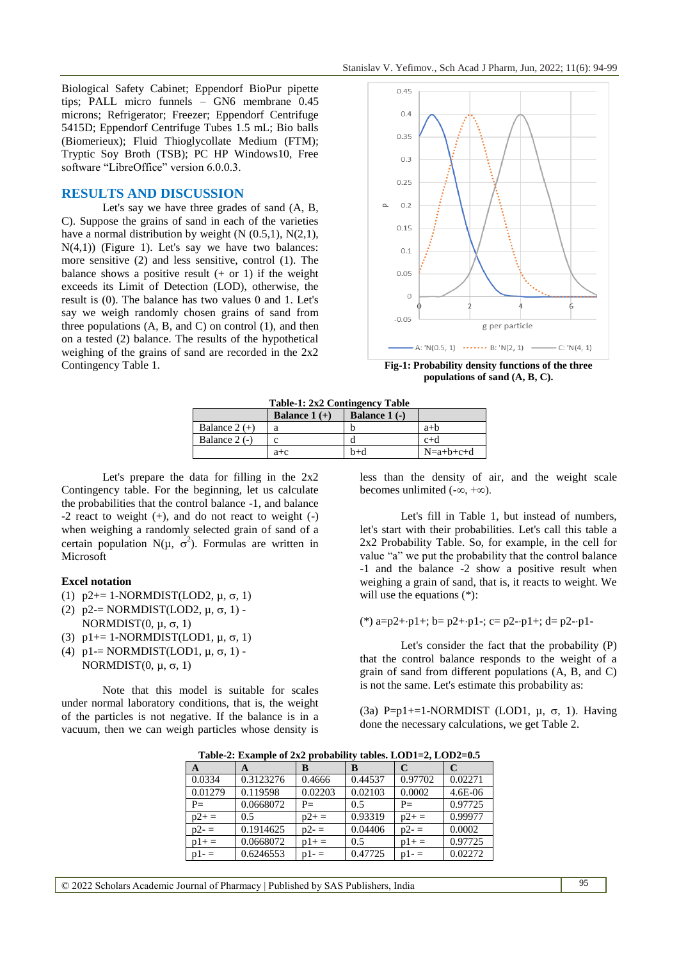Biological Safety Cabinet; Eppendorf BioPur pipette tips; PALL micro funnels – GN6 membrane 0.45 microns; Refrigerator; Freezer; Eppendorf Centrifuge 5415D; Eppendorf Centrifuge Tubes 1.5 mL; Bio balls (Biomerieux); Fluid Thioglycollate Medium (FTM); Tryptic Soy Broth (TSB); PC HP Windows10, Free software "LibreOffice" version 6.0.0.3.

#### **RESULTS AND DISCUSSION**

Let's say we have three grades of sand (A, B, C). Suppose the grains of sand in each of the varieties have a normal distribution by weight  $(N (0.5.1), N(2.1))$ ,  $N(4,1)$ ) (Figure 1). Let's say we have two balances: more sensitive (2) and less sensitive, control (1). The balance shows a positive result  $(+ or 1)$  if the weight exceeds its Limit of Detection (LOD), otherwise, the result is (0). The balance has two values 0 and 1. Let's say we weigh randomly chosen grains of sand from three populations  $(A, B, and C)$  on control  $(1)$ , and then on a tested (2) balance. The results of the hypothetical weighing of the grains of sand are recorded in the 2x2 Contingency Table 1. **Fig-1: Probability density functions of the three** 



**populations of sand (A, B, C).**

|  | <b>Table-1: 2x2 Contingency Table</b> |  |
|--|---------------------------------------|--|
|--|---------------------------------------|--|

|                 | Balance $1 (+)$ | Balance $1$ (-) |             |
|-----------------|-----------------|-----------------|-------------|
| Balance $2 (+)$ |                 |                 | $a+b$       |
| Balance $2$ (-) | C               |                 | $c+d$       |
|                 | $a + c$         | $b+d$           | $N=a+b+c+d$ |

Let's prepare the data for filling in the 2x2 Contingency table. For the beginning, let us calculate the probabilities that the control balance -1, and balance -2 react to weight (+), and do not react to weight (-) when weighing a randomly selected grain of sand of a certain population N( $\mu$ ,  $\sigma^2$ ). Formulas are written in Microsoft

#### **Excel notation**

- (1)  $p2 == 1-NORMDIST(LOD2, \mu, \sigma, 1)$
- (2)  $p2 = NORMDIST(LOD2, \mu, \sigma, 1)$  -NORMDIST $(0, \mu, \sigma, 1)$
- (3)  $p1 == 1-NORMDIST(LOD1, \mu, \sigma, 1)$
- (4)  $p1 = NORMALINGT(LOD1, \mu, \sigma, 1)$  -NORMDIST $(0, \mu, \sigma, 1)$

Note that this model is suitable for scales under normal laboratory conditions, that is, the weight of the particles is not negative. If the balance is in a vacuum, then we can weigh particles whose density is

less than the density of air, and the weight scale becomes unlimited  $(-\infty, +\infty)$ .

Let's fill in Table 1, but instead of numbers, let's start with their probabilities. Let's call this table a 2x2 Probability Table. So, for example, in the cell for value "a" we put the probability that the control balance -1 and the balance -2 show a positive result when weighing a grain of sand, that is, it reacts to weight. We will use the equations (\*):

(\*) 
$$
a=p2+p1+
$$
;  $b=p2+p1-$ ;  $c=p2-p1+$ ;  $d=p2-p1-$ 

Let's consider the fact that the probability (P) that the control balance responds to the weight of a grain of sand from different populations (A, B, and C) is not the same. Let's estimate this probability as:

(3a) P=p1+=1-NORMDIST (LOD1,  $\mu$ ,  $\sigma$ , 1). Having done the necessary calculations, we get Table 2.

| $\mathbf{A}$ | A         | В          | B       | C          | C           |
|--------------|-----------|------------|---------|------------|-------------|
| 0.0334       | 0.3123276 | 0.4666     | 0.44537 | 0.97702    | 0.02271     |
| 0.01279      | 0.119598  | 0.02203    | 0.02103 | 0.0002     | $4.6E - 06$ |
| $P=$         | 0.0668072 | $P=$       | 0.5     | $P=$       | 0.97725     |
| $p2+$ =      | 0.5       | $p2+$ =    | 0.93319 | $p2+$      | 0.99977     |
| $p2 - 1 =$   | 0.1914625 | $p2 - 1 =$ | 0.04406 | $p2 - 1 =$ | 0.0002      |
| $p1+=$       | 0.0668072 | $p1+=$     | 0.5     | $p1+=$     | 0.97725     |
| $p1-$        | 0.6246553 | $p1-$      | 0.47725 | $p1 -$     | 0.02272     |

**Table-2: Example of 2x2 probability tables. LOD1=2, LOD2=0.5**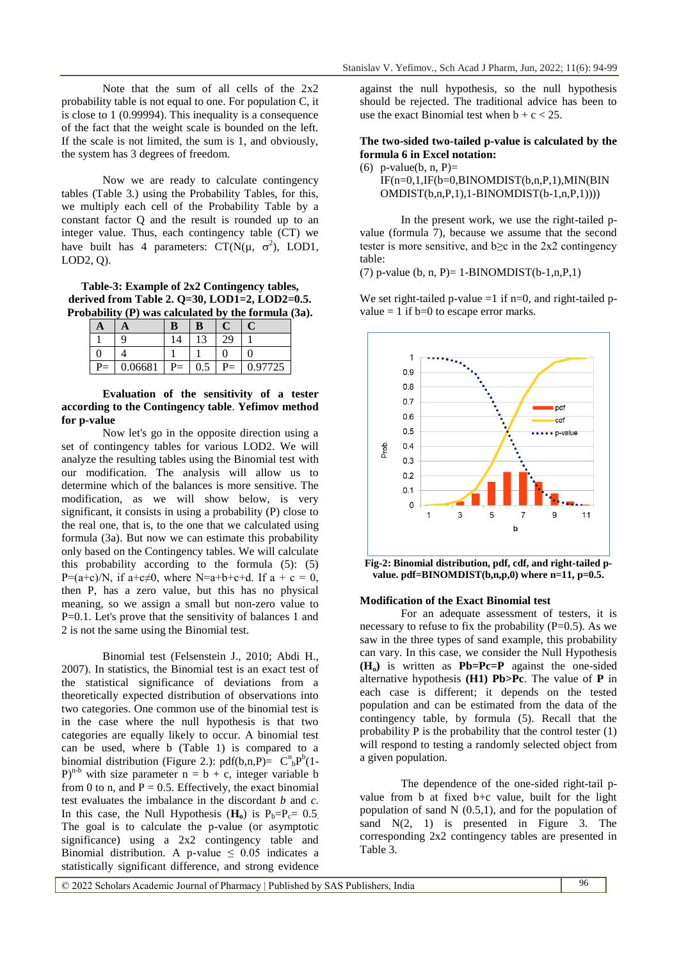Note that the sum of all cells of the 2x2 probability table is not equal to one. For population C, it is close to 1 (0.99994). This inequality is a consequence of the fact that the weight scale is bounded on the left. If the scale is not limited, the sum is 1, and obviously, the system has 3 degrees of freedom.

Now we are ready to calculate contingency tables (Table 3.) using the Probability Tables, for this, we multiply each cell of the Probability Table by a constant factor Q and the result is rounded up to an integer value. Thus, each contingency table (CT) we have built has 4 parameters:  $CT(N(\mu, \sigma^2), \text{LOD1},$ LOD2, Q).

**Table-3: Example of 2x2 Contingency tables, derived from Table 2. Q=30, LOD1=2, LOD2=0.5. Probability (P) was calculated by the formula (3a).**

| A |        | b                    | B   |     |       |
|---|--------|----------------------|-----|-----|-------|
|   |        | $\overline{\Lambda}$ |     | າດ  |       |
|   |        |                      |     |     |       |
|   | 0.6681 | Ξ                    | 0.5 | -′= | 97725 |

#### **Evaluation of the sensitivity of a tester according to the Contingency table**. **Yefimov method for p-value**

Now let's go in the opposite direction using a set of contingency tables for various LOD2. We will analyze the resulting tables using the Binomial test with our modification. The analysis will allow us to determine which of the balances is more sensitive. The modification, as we will show below, is very significant, it consists in using a probability (P) close to the real one, that is, to the one that we calculated using formula (3a). But now we can estimate this probability only based on the Contingency tables. We will calculate this probability according to the formula (5): (5) P=(a+c)/N, if a+c $\neq$ 0, where N=a+b+c+d. If a + c = 0, then P, has a zero value, but this has no physical meaning, so we assign a small but non-zero value to P=0.1. Let's prove that the sensitivity of balances 1 and 2 is not the same using the Binomial test.

Binomial test (Felsenstein J., 2010; Abdi H., 2007). In statistics, the Binomial test is an exact test of the statistical significance of deviations from a theoretically expected distribution of observations into two categories. One common use of the binomial test is in the case where the null hypothesis is that two categories are equally likely to occur. A binomial test can be used, where b (Table 1) is compared to a binomial distribution (Figure 2.):  $pdf(b, n, P) = C^n_b P^b(1 (P)^{n-b}$  with size parameter  $n = b + c$ , integer variable b from 0 to n, and  $P = 0.5$ . Effectively, the exact binomial test evaluates the imbalance in the discordant *b* and *c*. In this case, the Null Hypothesis  $(\mathbf{H}_0)$  is  $P_b = P_c = 0.5$ . The goal is to calculate the p-value (or asymptotic significance) using a 2x2 contingency table and Binomial distribution. A p-value  $\leq$  0.05 indicates a statistically significant difference, and strong evidence

against the null hypothesis, so the null hypothesis should be rejected. The traditional advice has been to use the exact Binomial test when  $b + c < 25$ .

#### **The two-sided two-tailed p-value is calculated by the formula 6 in Excel notation:**

(6) p-value(b, n, P)=  $IF(n=0,1,IF(b=0,BINOMDIST(b,n,P,1),MIN(BIN))$ OMDIST(b,n,P,1),1-BINOMDIST(b-1,n,P,1))))

In the present work, we use the right-tailed pvalue (formula 7), because we assume that the second tester is more sensitive, and  $b \ge c$  in the 2x2 contingency table:

(7) p-value (b, n, P)= 1-BINOMDIST(b-1,n,P,1)

We set right-tailed p-value  $=1$  if n=0, and right-tailed pvalue  $= 1$  if  $b=0$  to escape error marks.



value. pdf=BINOMDIST(b,n,p,0) where n=11, p=0.5.

#### **Modification of the Exact Binomial test**

For an adequate assessment of testers, it is necessary to refuse to fix the probability  $(P=0.5)$ . As we saw in the three types of sand example, this probability can vary. In this case, we consider the Null Hypothesis **(Ho)** is written as **Pb=Pc=P** against the one-sided alternative hypothesis **(H1) Pb>Pc**. The value of **P** in each case is different; it depends on the tested population and can be estimated from the data of the contingency table, by formula (5). Recall that the probability P is the probability that the control tester (1) will respond to testing a randomly selected object from a given population.

The dependence of the one-sided right-tail pvalue from b at fixed b+c value, built for the light population of sand N  $(0.5,1)$ , and for the population of sand N(2, 1) is presented in Figure 3. The corresponding 2x2 contingency tables are presented in Table 3.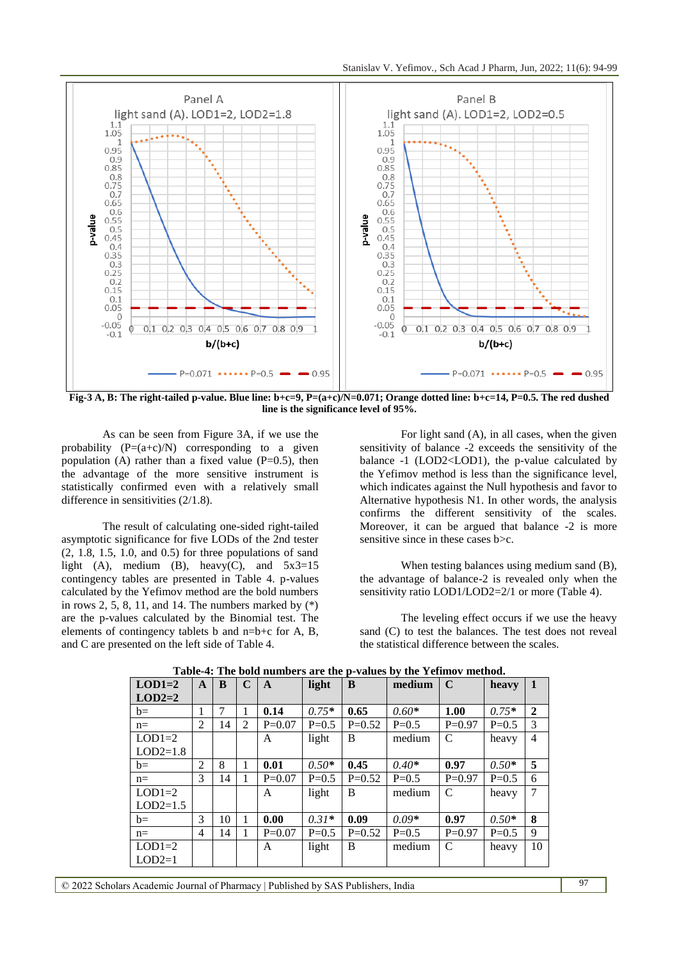

Fig-3 A, B: The right-tailed p-value. Blue line:  $b+c=9$ ,  $P=(a+c)/N=0.071$ ; Orange dotted line:  $b+c=14$ ,  $P=0.5$ . The red dushed **line is the significance level of 95%.**

As can be seen from Figure 3A, if we use the probability  $(P=(a+c)/N)$  corresponding to a given population (A) rather than a fixed value  $(P=0.5)$ , then the advantage of the more sensitive instrument is statistically confirmed even with a relatively small difference in sensitivities (2/1.8).

The result of calculating one-sided right-tailed asymptotic significance for five LODs of the 2nd tester (2, 1.8, 1.5, 1.0, and 0.5) for three populations of sand light (A), medium (B), heavy(C), and  $5x3=15$ contingency tables are presented in Table 4. p-values calculated by the Yefimov method are the bold numbers in rows 2, 5, 8, 11, and 14. The numbers marked by  $(*)$ are the p-values calculated by the Binomial test. The elements of contingency tablets b and n=b+c for A, B, and C are presented on the left side of Table 4.

For light sand (A), in all cases, when the given sensitivity of balance -2 exceeds the sensitivity of the balance -1 (LOD2<LOD1), the p-value calculated by the Yefimov method is less than the significance level, which indicates against the Null hypothesis and favor to Alternative hypothesis N1. In other words, the analysis confirms the different sensitivity of the scales. Moreover, it can be argued that balance -2 is more sensitive since in these cases b  $\geq$ c.

When testing balances using medium sand (B), the advantage of balance-2 is revealed only when the sensitivity ratio LOD1/LOD2=2/1 or more (Table 4).

The leveling effect occurs if we use the heavy sand (C) to test the balances. The test does not reveal the statistical difference between the scales.

| $LOD1=2$   | A | B  | $\mathbf C$    | A        | light   | B        | medium  | $\mathbf C$   | heavy     | $\mathbf 1$    |
|------------|---|----|----------------|----------|---------|----------|---------|---------------|-----------|----------------|
| $LOD2=2$   |   |    |                |          |         |          |         |               |           |                |
| $b=$       |   | 7  | 1              | 0.14     | $0.75*$ | 0.65     | $0.60*$ | 1.00          | $0.75*$   | $\mathbf{2}$   |
| $n=$       | 2 | 14 | $\overline{2}$ | $P=0.07$ | $P=0.5$ | $P=0.52$ | $P=0.5$ | $P=0.97$      | $P=0.5$   | 3              |
| $LOD1=2$   |   |    |                | A        | light   | B        | medium  | $\mathcal{C}$ | heavy     | 4              |
| $LOD2=1.8$ |   |    |                |          |         |          |         |               |           |                |
| $b=$       | 2 | 8  | 1              | 0.01     | $0.50*$ | 0.45     | $0.40*$ | 0.97          | $0.50*$   | 5              |
| $n=$       | 3 | 14 | 1              | $P=0.07$ | $P=0.5$ | $P=0.52$ | $P=0.5$ | $P=0.97$      | $P = 0.5$ | 6              |
| $LOD1=2$   |   |    |                | A        | light   | B        | medium  | C             | heavy     | $\overline{7}$ |
| $LOD2=1.5$ |   |    |                |          |         |          |         |               |           |                |
| $b=$       | 3 | 10 | 1              | 0.00     | $0.31*$ | 0.09     | $0.09*$ | 0.97          | $0.50*$   | 8              |
| $n=$       | 4 | 14 |                | $P=0.07$ | $P=0.5$ | $P=0.52$ | $P=0.5$ | $P=0.97$      | $P=0.5$   | 9              |
| $LOD1=2$   |   |    |                | A        | light   | B        | medium  | C             | heavy     | 10             |
| $LOD2=1$   |   |    |                |          |         |          |         |               |           |                |

**Table-4: The bold numbers are the p-values by the Yefimov method.**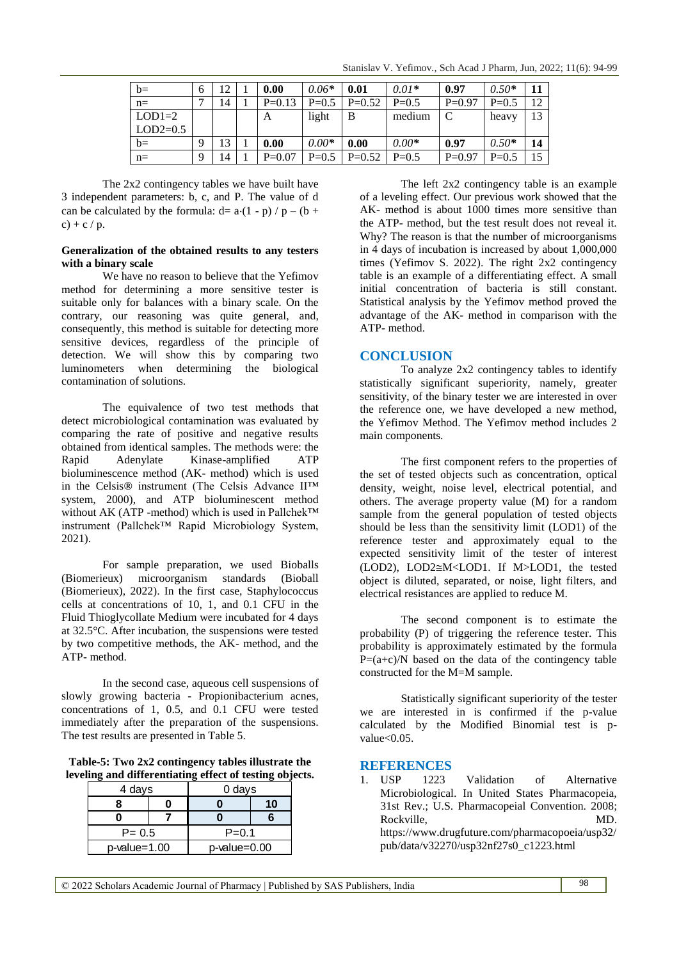| $b=$       | 6 | $12^{-}$ | 0.00     | $0.06*$ | 0.01     | $0.01*$ | 0.97     | $0.50*$ |    |
|------------|---|----------|----------|---------|----------|---------|----------|---------|----|
| $n=$       |   | 14       | $P=0.13$ | $P=0.5$ | $P=0.52$ | $P=0.5$ | $P=0.97$ | $P=0.5$ |    |
| $LOD1=2$   |   |          | A        | light   | B        | medium  |          | heavy   |    |
| $LOD2=0.5$ |   |          |          |         |          |         |          |         |    |
| $b=$       | 9 | 13       | 0.00     | $0.00*$ | 0.00     | $0.00*$ | 0.97     | $0.50*$ | 14 |
| $n=$       | Q | 14       | $P=0.07$ | $P=0.5$ | $P=0.52$ | $P=0.5$ | $P=0.97$ | $P=0.5$ |    |

The 2x2 contingency tables we have built have 3 independent parameters: b, c, and P. The value of d can be calculated by the formula:  $d= a(1-p) / p - (b +$ c) + c / p.

#### **Generalization of the obtained results to any testers with a binary scale**

We have no reason to believe that the Yefimov method for determining a more sensitive tester is suitable only for balances with a binary scale. On the contrary, our reasoning was quite general, and, consequently, this method is suitable for detecting more sensitive devices, regardless of the principle of detection. We will show this by comparing two luminometers when determining the biological contamination of solutions.

The equivalence of two test methods that detect microbiological contamination was evaluated by comparing the rate of positive and negative results obtained from identical samples. The methods were: the Rapid Adenylate Kinase-amplified ATP bioluminescence method (AK- method) which is used in the Celsis**®** instrument (The Celsis Advance II™ system, 2000), and ATP bioluminescent method without AK (ATP -method) which is used in Pallchek™ instrument (Pallchek™ Rapid Microbiology System, 2021).

For sample preparation, we used Bioballs (Biomerieux) microorganism standards (Bioball (Biomerieux), 2022). In the first case, Staphylococcus cells at concentrations of 10, 1, and 0.1 CFU in the Fluid Thioglycollate Medium were incubated for 4 days at 32.5°C. After incubation, the suspensions were tested by two competitive methods, the AK- method, and the ATP- method.

In the second case, aqueous cell suspensions of slowly growing bacteria - Propionibacterium acnes, concentrations of 1, 0.5, and 0.1 CFU were tested immediately after the preparation of the suspensions. The test results are presented in Table 5.

**Table-5: Two 2x2 contingency tables illustrate the leveling and differentiating effect of testing objects.**

| 4 days          | 0 days       |  |  |
|-----------------|--------------|--|--|
|                 |              |  |  |
|                 |              |  |  |
| $P = 0.5$       | $P = 0.1$    |  |  |
| $p$ -value=1.00 | p-value=0.00 |  |  |

The left 2x2 contingency table is an example of a leveling effect. Our previous work showed that the AK- method is about 1000 times more sensitive than the ATP- method, but the test result does not reveal it. Why? The reason is that the number of microorganisms in 4 days of incubation is increased by about 1,000,000 times (Yefimov S. 2022). The right 2x2 contingency table is an example of a differentiating effect. A small initial concentration of bacteria is still constant. Statistical analysis by the Yefimov method proved the advantage of the AK- method in comparison with the ATP- method.

### **CONCLUSION**

To analyze 2x2 contingency tables to identify statistically significant superiority, namely, greater sensitivity, of the binary tester we are interested in over the reference one, we have developed a new method, the Yefimov Method. The Yefimov method includes 2 main components.

The first component refers to the properties of the set of tested objects such as concentration, optical density, weight, noise level, electrical potential, and others. The average property value (M) for a random sample from the general population of tested objects should be less than the sensitivity limit (LOD1) of the reference tester and approximately equal to the expected sensitivity limit of the tester of interest (LOD2), LOD2≅M<LOD1. If M>LOD1, the tested object is diluted, separated, or noise, light filters, and electrical resistances are applied to reduce M.

The second component is to estimate the probability (P) of triggering the reference tester. This probability is approximately estimated by the formula  $P=(a+c)/N$  based on the data of the contingency table constructed for the M=M sample.

Statistically significant superiority of the tester we are interested in is confirmed if the p-value calculated by the Modified Binomial test is pvalue<0.05.

# **REFERENCES**

1. USP 1223 Validation of Alternative Microbiological. In United States Pharmacopeia, 31st Rev.; U.S. Pharmacopeial Convention. 2008; Rockville. MD. [https://www.drugfuture.com/pharmacopoeia/usp32/](https://www.drugfuture.com/pharmacopoeia/usp32/pub/data/v32270/usp32nf27s0_c1223.html) [pub/data/v32270/usp32nf27s0\\_c1223.html](https://www.drugfuture.com/pharmacopoeia/usp32/pub/data/v32270/usp32nf27s0_c1223.html)